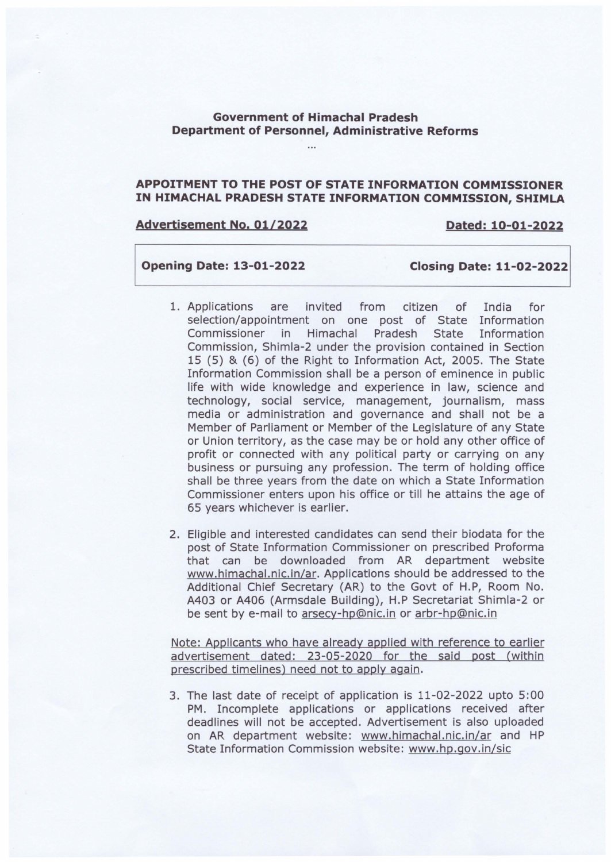# **Government of Himachal Pradesh Department of Personnel, Administrative Reforms**

## **APPOITMENT TO THE POST OF STATE INFORMATION COMMISSIONER IN HIMACHAL PRADESH STATE INFORMATION COMMISSION, SHIMLA**

### **Advertisement No. 01/2022 Dated: 10-01-2022**

## **Opening Date: 13-01-2022 Closing Date: 11-02-2022**

- 1. Applications are invited from citizen of India for selection/appointment on one post of State Information Commissioner in Himachal Pradesh State Information Commission, Shimla-2 under the provision contained in Section 15 (5) & (6) of the Right to Information Act, 2005. The State Information Commission shall be a person of eminence in public life with wide knowledge and experience in law, science and technology, social service, management, journalism, mass media or administration and governance and shall not be a Member of Parliament or Member of the Legislature of any State or Union territory, as the case may be or hold any other office of profit or connected with any political party or carrying on any business or pursuing any profession. The term of holding office shall be three years from the date on which a State Information Commissioner enters upon his office or till he attains the age of 65 years whichever is earlier.
- 2. Eligible and interested candidates can send their biodata for the post of State Information Commissioner on prescribed Proforma that can be downloaded from AR department website www.himachal.nic.in/ar. Applications should be addressed to the Additional Chief Secretary (AR) to the Govt of H.P, Room No. A403 or A406 (Armsdale Building), H.P Secretariat Shimla-2 or be sent by e-mail to arsecy-hp@nic.in or arbr-hp@nic.in

Note: Applicants who have already applied with reference to earlier advertisement dated: 23-05-2020 for the said post (within prescribed timelines) need not to apply again.

3. The last date of receipt of application is 11-02-2022 upto 5:00 PM. Incomplete applications or applications received after deadlines will not be accepted. Advertisement is also uploaded on AR department website: www.himachal.nic.in/ar and HP State Information Commission website: www.hp.gov.in/sic